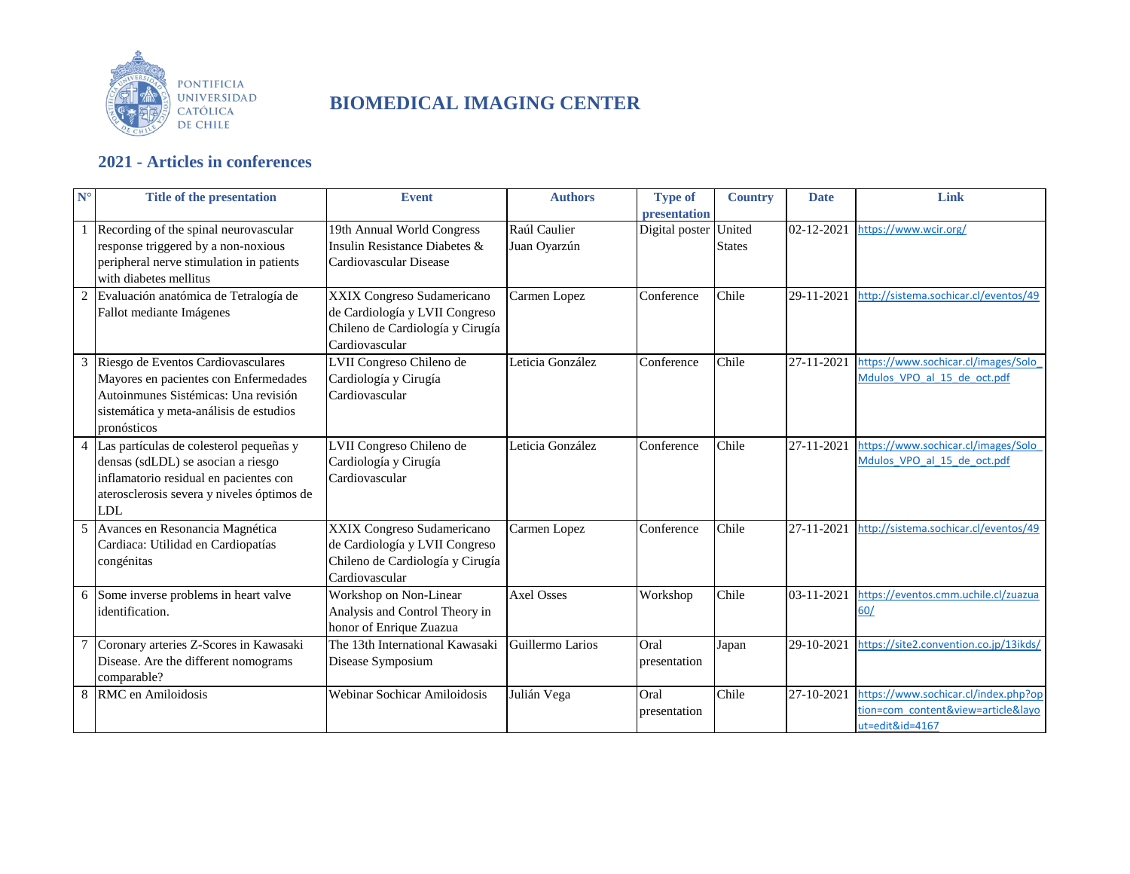

## **BIOMEDICAL IMAGING CENTER**

## **2021 - Articles in conferences**

| $N^{\circ}$    | <b>Title of the presentation</b>                                                                                                                                                    | <b>Event</b>                                                                                                       | <b>Authors</b>               | <b>Type of</b><br><b>presentation</b> | <b>Country</b>          | <b>Date</b> | Link                                                                                          |
|----------------|-------------------------------------------------------------------------------------------------------------------------------------------------------------------------------------|--------------------------------------------------------------------------------------------------------------------|------------------------------|---------------------------------------|-------------------------|-------------|-----------------------------------------------------------------------------------------------|
|                | Recording of the spinal neurovascular<br>response triggered by a non-noxious<br>peripheral nerve stimulation in patients<br>with diabetes mellitus                                  | 19th Annual World Congress<br>Insulin Resistance Diabetes &<br>Cardiovascular Disease                              | Raúl Caulier<br>Juan Oyarzún | Digital poster                        | United<br><b>States</b> | 02-12-2021  | https://www.wcir.org/                                                                         |
| 2              | Evaluación anatómica de Tetralogía de<br>Fallot mediante Imágenes                                                                                                                   | XXIX Congreso Sudamericano<br>de Cardiología y LVII Congreso<br>Chileno de Cardiología y Cirugía<br>Cardiovascular | Carmen Lopez                 | Conference                            | Chile                   | 29-11-2021  | http://sistema.sochicar.cl/eventos/49                                                         |
| 3              | Riesgo de Eventos Cardiovasculares<br>Mayores en pacientes con Enfermedades<br>Autoinmunes Sistémicas: Una revisión<br>sistemática y meta-análisis de estudios<br>pronósticos       | LVII Congreso Chileno de<br>Cardiología y Cirugía<br>Cardiovascular                                                | Leticia González             | Conference                            | Chile                   | 27-11-2021  | https://www.sochicar.cl/images/Solo<br>Mdulos VPO al 15 de oct.pdf                            |
| $\overline{4}$ | Las partículas de colesterol pequeñas y<br>densas (sdLDL) se asocian a riesgo<br>inflamatorio residual en pacientes con<br>aterosclerosis severa y niveles óptimos de<br><b>LDL</b> | LVII Congreso Chileno de<br>Cardiología y Cirugía<br>Cardiovascular                                                | Leticia González             | Conference                            | Chile                   | 27-11-2021  | https://www.sochicar.cl/images/Solo<br>Mdulos VPO al 15 de oct.pdf                            |
| 5              | Avances en Resonancia Magnética<br>Cardiaca: Utilidad en Cardiopatías<br>congénitas                                                                                                 | XXIX Congreso Sudamericano<br>de Cardiología y LVII Congreso<br>Chileno de Cardiología y Cirugía<br>Cardiovascular | Carmen Lopez                 | Conference                            | Chile                   | 27-11-2021  | http://sistema.sochicar.cl/eventos/49                                                         |
|                | 6 Some inverse problems in heart valve<br>identification.                                                                                                                           | Workshop on Non-Linear<br>Analysis and Control Theory in<br>honor of Enrique Zuazua                                | <b>Axel Osses</b>            | Workshop                              | Chile                   | 03-11-2021  | https://eventos.cmm.uchile.cl/zuazua<br>60/                                                   |
|                | Coronary arteries Z-Scores in Kawasaki<br>Disease. Are the different nomograms<br>comparable?                                                                                       | The 13th International Kawasaki<br>Disease Symposium                                                               | Guillermo Larios             | Oral<br>presentation                  | Japan                   | 29-10-2021  | https://site2.convention.co.jp/13ikds/                                                        |
| 8              | RMC en Amiloidosis                                                                                                                                                                  | Webinar Sochicar Amiloidosis                                                                                       | Julián Vega                  | Oral<br>presentation                  | Chile                   | 27-10-2021  | https://www.sochicar.cl/index.php?op<br>tion=com content&view=article&layo<br>ut=edit&id=4167 |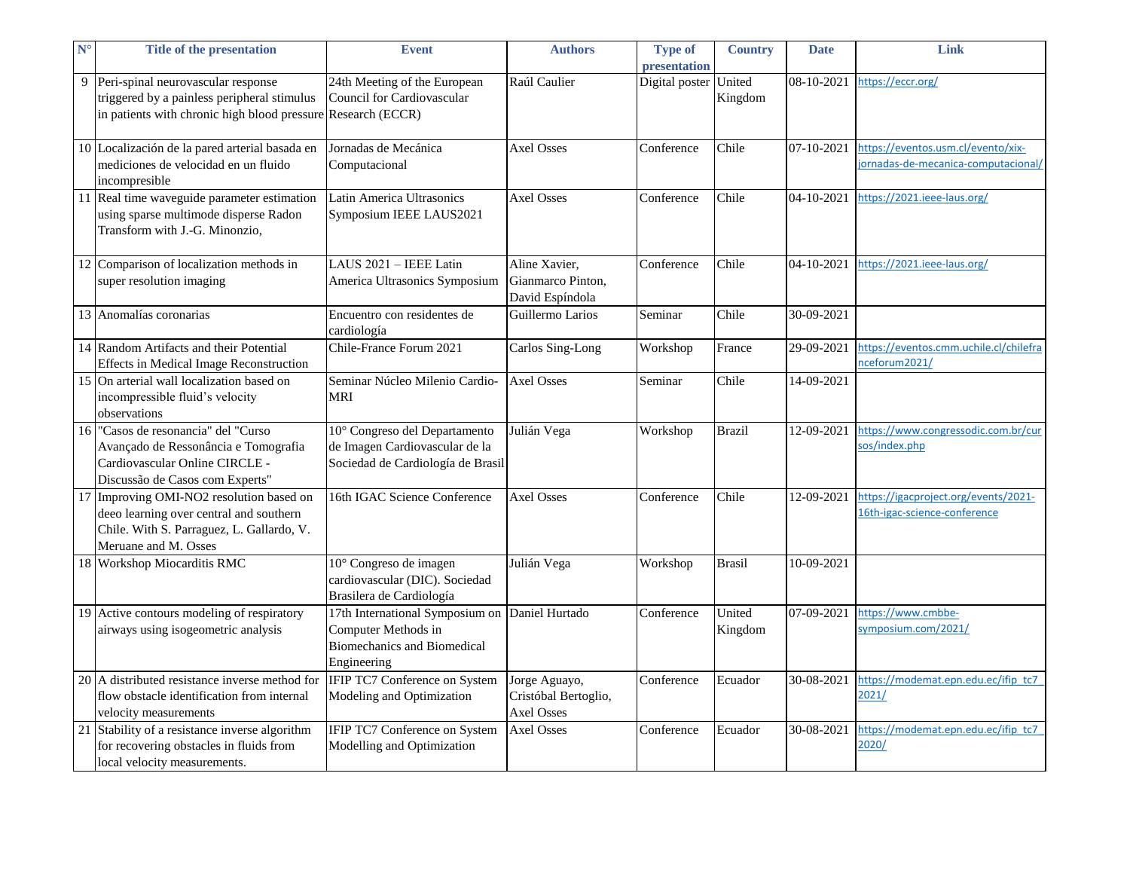| $N^{\circ}$ | <b>Title of the presentation</b>                                                                                                                         | <b>Event</b>                                                                                         | <b>Authors</b>                                             | <b>Type of</b><br>presentation | <b>Country</b>    | <b>Date</b> | Link                                                                     |
|-------------|----------------------------------------------------------------------------------------------------------------------------------------------------------|------------------------------------------------------------------------------------------------------|------------------------------------------------------------|--------------------------------|-------------------|-------------|--------------------------------------------------------------------------|
| 9           | Peri-spinal neurovascular response<br>triggered by a painless peripheral stimulus<br>in patients with chronic high blood pressure Research (ECCR)        | 24th Meeting of the European<br>Council for Cardiovascular                                           | Raúl Caulier                                               | Digital poster                 | United<br>Kingdom | 08-10-2021  | https://eccr.org/                                                        |
|             | 10 Localización de la pared arterial basada en<br>mediciones de velocidad en un fluido<br>incompresible                                                  | Jornadas de Mecánica<br>Computacional                                                                | <b>Axel Osses</b>                                          | Conference                     | Chile             | 07-10-2021  | https://eventos.usm.cl/evento/xix-<br>ornadas-de-mecanica-computacional/ |
|             | 11 Real time waveguide parameter estimation<br>using sparse multimode disperse Radon<br>Transform with J.-G. Minonzio,                                   | Latin America Ultrasonics<br>Symposium IEEE LAUS2021                                                 | <b>Axel Osses</b>                                          | Conference                     | Chile             | 04-10-2021  | https://2021.ieee-laus.org/                                              |
|             | 12 Comparison of localization methods in<br>super resolution imaging                                                                                     | LAUS 2021 - IEEE Latin<br>America Ultrasonics Symposium                                              | Aline Xavier.<br>Gianmarco Pinton,<br>David Espíndola      | Conference                     | Chile             | 04-10-2021  | https://2021.ieee-laus.org/                                              |
|             | 13 Anomalías coronarias                                                                                                                                  | Encuentro con residentes de<br>cardiología                                                           | Guillermo Larios                                           | Seminar                        | Chile             | 30-09-2021  |                                                                          |
|             | 14 Random Artifacts and their Potential<br><b>Effects in Medical Image Reconstruction</b>                                                                | Chile-France Forum 2021                                                                              | Carlos Sing-Long                                           | Workshop                       | France            | 29-09-2021  | https://eventos.cmm.uchile.cl/chilefra<br>nceforum2021/                  |
|             | 15 On arterial wall localization based on<br>incompressible fluid's velocity<br>observations                                                             | Seminar Núcleo Milenio Cardio-<br><b>MRI</b>                                                         | <b>Axel Osses</b>                                          | Seminar                        | Chile             | 14-09-2021  |                                                                          |
|             | 16 "Casos de resonancia" del "Curso"<br>Avançado de Ressonância e Tomografia<br>Cardiovascular Online CIRCLE -<br>Discussão de Casos com Experts"        | 10° Congreso del Departamento<br>de Imagen Cardiovascular de la<br>Sociedad de Cardiología de Brasil | Julián Vega                                                | Workshop                       | <b>Brazil</b>     | 12-09-2021  | https://www.congressodic.com.br/cur<br>sos/index.php                     |
|             | 17 Improving OMI-NO2 resolution based on<br>deeo learning over central and southern<br>Chile. With S. Parraguez, L. Gallardo, V.<br>Meruane and M. Osses | 16th IGAC Science Conference                                                                         | <b>Axel Osses</b>                                          | Conference                     | Chile             | 12-09-2021  | https://igacproject.org/events/2021-<br>16th-igac-science-conference     |
|             | 18 Workshop Miocarditis RMC                                                                                                                              | 10° Congreso de imagen<br>cardiovascular (DIC). Sociedad<br>Brasilera de Cardiología                 | Julián Vega                                                | Workshop                       | <b>Brasil</b>     | 10-09-2021  |                                                                          |
|             | 19 Active contours modeling of respiratory<br>airways using isogeometric analysis                                                                        | 17th International Symposium on<br>Computer Methods in<br>Biomechanics and Biomedical<br>Engineering | Daniel Hurtado                                             | Conference                     | United<br>Kingdom | 07-09-2021  | https://www.cmbbe-<br>symposium.com/2021/                                |
|             | 20 A distributed resistance inverse method for<br>flow obstacle identification from internal<br>velocity measurements                                    | IFIP TC7 Conference on System<br>Modeling and Optimization                                           | Jorge Aguayo,<br>Cristóbal Bertoglio,<br><b>Axel Osses</b> | Conference                     | Ecuador           | 30-08-2021  | https://modemat.epn.edu.ec/ifip_tc7<br>2021/                             |
|             | 21 Stability of a resistance inverse algorithm<br>for recovering obstacles in fluids from<br>local velocity measurements.                                | IFIP TC7 Conference on System<br>Modelling and Optimization                                          | <b>Axel Osses</b>                                          | Conference                     | Ecuador           | 30-08-2021  | https://modemat.epn.edu.ec/ifip_tc7<br>2020/                             |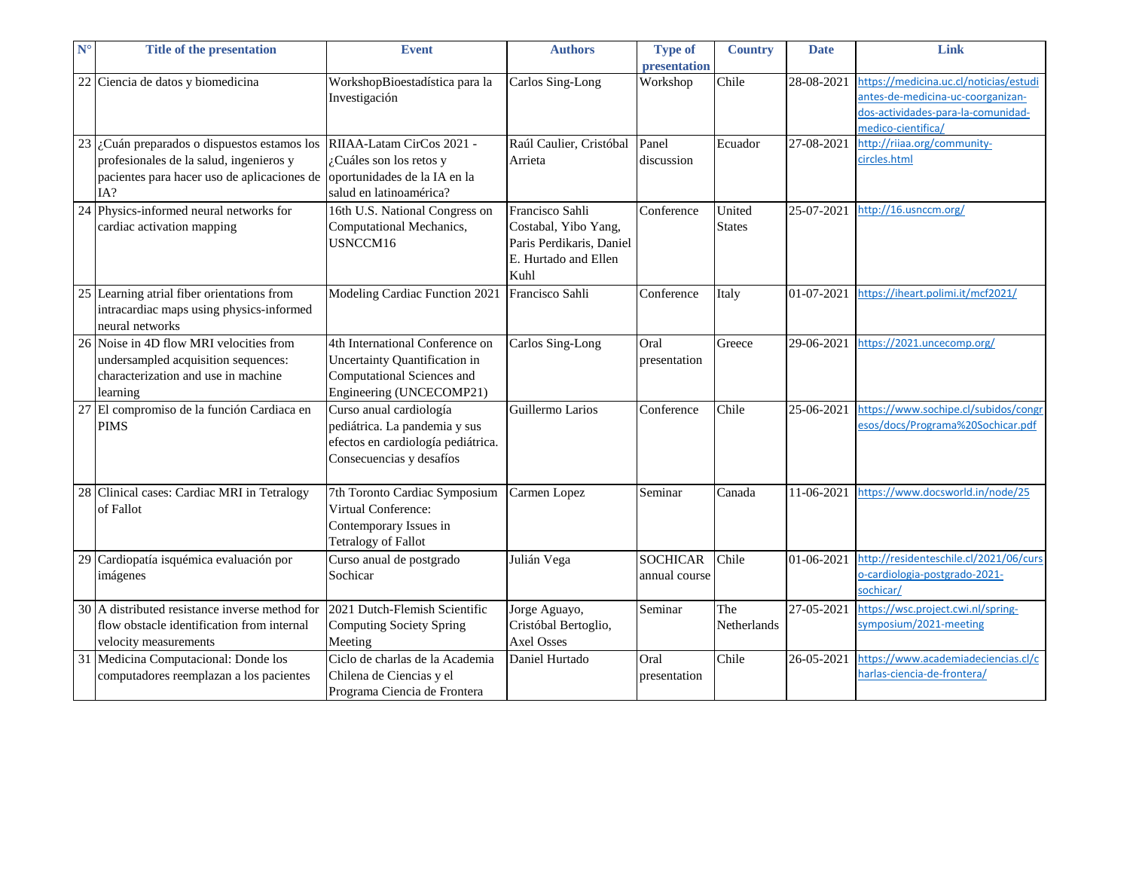| $N^{\circ}$ | <b>Title of the presentation</b>                                                                                                                                             | <b>Event</b>                                                                                                               | <b>Authors</b>                                                                                      | <b>Type of</b><br>presentation   | <b>Country</b>          | <b>Date</b> | Link                                                                                                                                    |
|-------------|------------------------------------------------------------------------------------------------------------------------------------------------------------------------------|----------------------------------------------------------------------------------------------------------------------------|-----------------------------------------------------------------------------------------------------|----------------------------------|-------------------------|-------------|-----------------------------------------------------------------------------------------------------------------------------------------|
|             | 22 Ciencia de datos y biomedicina                                                                                                                                            | WorkshopBioestadística para la<br>Investigación                                                                            | Carlos Sing-Long                                                                                    | Workshop                         | Chile                   | 28-08-2021  | https://medicina.uc.cl/noticias/estudi<br>antes-de-medicina-uc-coorganizan-<br>dos-actividades-para-la-comunidad-<br>medico-cientifica/ |
|             | $23$ i. Cuán preparados o dispuestos estamos los  RIIAA-Latam CirCos 2021 -<br>profesionales de la salud, ingenieros y<br>pacientes para hacer uso de aplicaciones de<br>IA? | ¿Cuáles son los retos y<br>oportunidades de la IA en la<br>salud en latinoamérica?                                         | Raúl Caulier, Cristóbal<br>Arrieta                                                                  | Panel<br>discussion              | Ecuador                 | 27-08-2021  | http://riiaa.org/community-<br>circles.html                                                                                             |
|             | 24 Physics-informed neural networks for<br>cardiac activation mapping                                                                                                        | 16th U.S. National Congress on<br>Computational Mechanics,<br>USNCCM16                                                     | Francisco Sahli<br>Costabal, Yibo Yang,<br>Paris Perdikaris, Daniel<br>E. Hurtado and Ellen<br>Kuhl | Conference                       | United<br><b>States</b> | 25-07-2021  | http://16.usnccm.org/                                                                                                                   |
|             | 25 Learning atrial fiber orientations from<br>intracardiac maps using physics-informed<br>neural networks                                                                    | Modeling Cardiac Function 2021 Francisco Sahli                                                                             |                                                                                                     | Conference                       | Italy                   | 01-07-2021  | https://iheart.polimi.it/mcf2021/                                                                                                       |
|             | 26 Noise in 4D flow MRI velocities from<br>undersampled acquisition sequences:<br>characterization and use in machine<br>learning                                            | 4th International Conference on<br>Uncertainty Quantification in<br>Computational Sciences and<br>Engineering (UNCECOMP21) | Carlos Sing-Long                                                                                    | Oral<br>presentation             | Greece                  | 29-06-2021  | https://2021.uncecomp.org/                                                                                                              |
|             | 27 El compromiso de la función Cardiaca en<br><b>PIMS</b>                                                                                                                    | Curso anual cardiología<br>pediátrica. La pandemia y sus<br>efectos en cardiología pediátrica.<br>Consecuencias y desafíos | Guillermo Larios                                                                                    | Conference                       | Chile                   | 25-06-2021  | https://www.sochipe.cl/subidos/congr<br>esos/docs/Programa%20Sochicar.pdf                                                               |
|             | 28 Clinical cases: Cardiac MRI in Tetralogy<br>of Fallot                                                                                                                     | 7th Toronto Cardiac Symposium<br>Virtual Conference:<br>Contemporary Issues in<br><b>Tetralogy of Fallot</b>               | Carmen Lopez                                                                                        | Seminar                          | Canada                  | 11-06-2021  | https://www.docsworld.in/node/25                                                                                                        |
|             | 29 Cardiopatía isquémica evaluación por<br>imágenes                                                                                                                          | Curso anual de postgrado<br>Sochicar                                                                                       | Julián Vega                                                                                         | <b>SOCHICAR</b><br>annual course | Chile                   | 01-06-2021  | http://residenteschile.cl/2021/06/curs<br>o-cardiologia-postgrado-2021-<br>sochicar/                                                    |
|             | 30 A distributed resistance inverse method for<br>flow obstacle identification from internal<br>velocity measurements                                                        | 2021 Dutch-Flemish Scientific<br>Computing Society Spring<br>Meeting                                                       | Jorge Aguayo,<br>Cristóbal Bertoglio,<br><b>Axel Osses</b>                                          | Seminar                          | The<br>Netherlands      | 27-05-2021  | https://wsc.project.cwi.nl/spring-<br>symposium/2021-meeting                                                                            |
|             | 31 Medicina Computacional: Donde los<br>computadores reemplazan a los pacientes                                                                                              | Ciclo de charlas de la Academia<br>Chilena de Ciencias y el<br>Programa Ciencia de Frontera                                | Daniel Hurtado                                                                                      | Oral<br>presentation             | Chile                   | 26-05-2021  | https://www.academiadeciencias.cl/c<br>harlas-ciencia-de-frontera/                                                                      |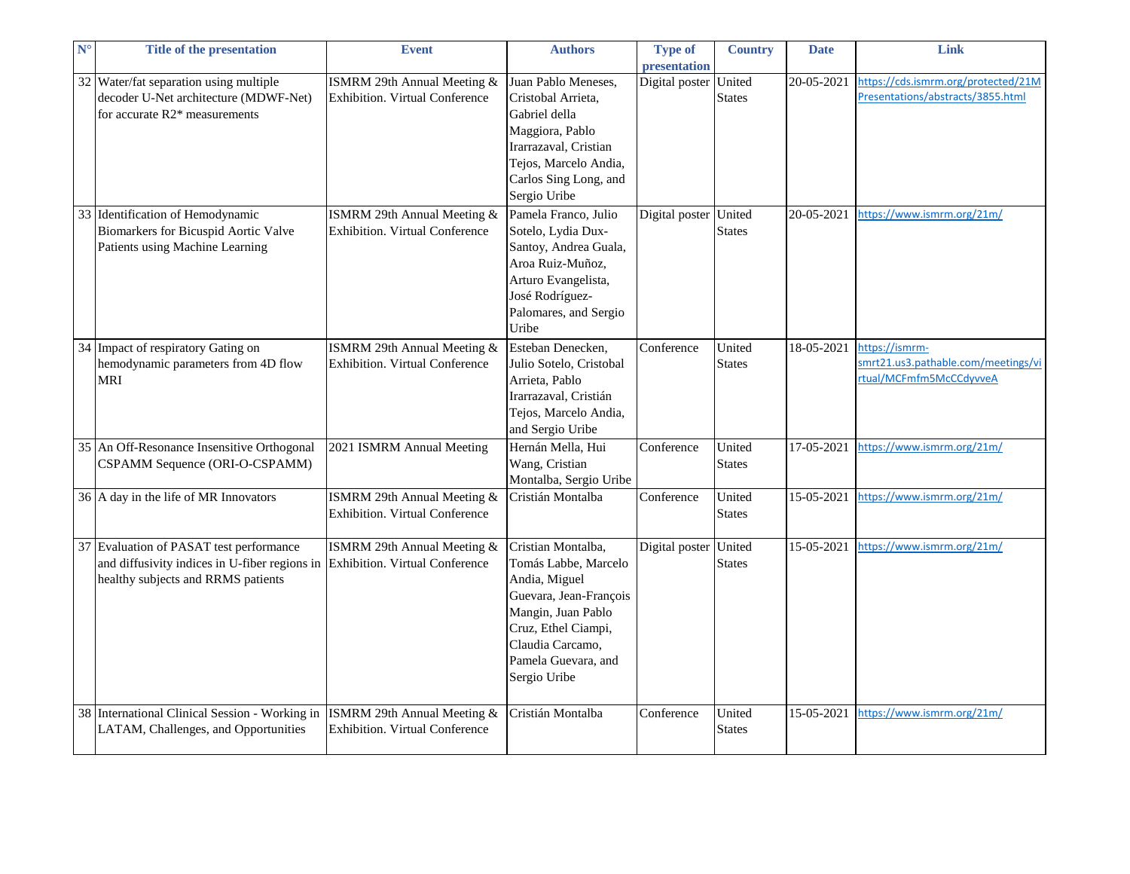| $\mathbf{N}^{\circ}$ | <b>Title of the presentation</b>                                                | <b>Event</b>                                                         | <b>Authors</b>                              | <b>Type of</b> | <b>Country</b> | <b>Date</b> | Link                                |
|----------------------|---------------------------------------------------------------------------------|----------------------------------------------------------------------|---------------------------------------------|----------------|----------------|-------------|-------------------------------------|
|                      |                                                                                 |                                                                      |                                             | presentation   |                |             | https://cds.ismrm.org/protected/21M |
|                      | 32 Water/fat separation using multiple<br>decoder U-Net architecture (MDWF-Net) | ISMRM 29th Annual Meeting &                                          | Juan Pablo Meneses,                         | Digital poster | United         | 20-05-2021  | Presentations/abstracts/3855.html   |
|                      | for accurate R2* measurements                                                   | <b>Exhibition. Virtual Conference</b>                                | Cristobal Arrieta,<br>Gabriel della         |                | <b>States</b>  |             |                                     |
|                      |                                                                                 |                                                                      | Maggiora, Pablo                             |                |                |             |                                     |
|                      |                                                                                 |                                                                      | Irarrazaval, Cristian                       |                |                |             |                                     |
|                      |                                                                                 |                                                                      | Tejos, Marcelo Andia,                       |                |                |             |                                     |
|                      |                                                                                 |                                                                      | Carlos Sing Long, and                       |                |                |             |                                     |
|                      |                                                                                 |                                                                      | Sergio Uribe                                |                |                |             |                                     |
|                      | 33 Identification of Hemodynamic                                                |                                                                      | Pamela Franco, Julio                        |                |                |             | https://www.ismrm.org/21m/          |
|                      |                                                                                 | ISMRM 29th Annual Meeting &<br><b>Exhibition. Virtual Conference</b> |                                             | Digital poster | United         | 20-05-2021  |                                     |
|                      | Biomarkers for Bicuspid Aortic Valve<br>Patients using Machine Learning         |                                                                      | Sotelo, Lydia Dux-<br>Santoy, Andrea Guala, |                | <b>States</b>  |             |                                     |
|                      |                                                                                 |                                                                      | Aroa Ruiz-Muñoz,                            |                |                |             |                                     |
|                      |                                                                                 |                                                                      | Arturo Evangelista,                         |                |                |             |                                     |
|                      |                                                                                 |                                                                      | José Rodríguez-                             |                |                |             |                                     |
|                      |                                                                                 |                                                                      | Palomares, and Sergio                       |                |                |             |                                     |
|                      |                                                                                 |                                                                      | Uribe                                       |                |                |             |                                     |
|                      | 34 Impact of respiratory Gating on                                              | ISMRM 29th Annual Meeting &                                          | Esteban Denecken,                           | Conference     | United         | 18-05-2021  | https://ismrm-                      |
|                      | hemodynamic parameters from 4D flow                                             | <b>Exhibition. Virtual Conference</b>                                | Julio Sotelo, Cristobal                     |                | <b>States</b>  |             | smrt21.us3.pathable.com/meetings/vi |
|                      | <b>MRI</b>                                                                      |                                                                      | Arrieta, Pablo                              |                |                |             | rtual/MCFmfm5McCCdyvveA             |
|                      |                                                                                 |                                                                      | Irarrazaval, Cristián                       |                |                |             |                                     |
|                      |                                                                                 |                                                                      | Tejos, Marcelo Andia,                       |                |                |             |                                     |
|                      |                                                                                 |                                                                      | and Sergio Uribe                            |                |                |             |                                     |
|                      | 35 An Off-Resonance Insensitive Orthogonal                                      | 2021 ISMRM Annual Meeting                                            | Hernán Mella, Hui                           | Conference     | United         | 17-05-2021  | https://www.ismrm.org/21m/          |
|                      | CSPAMM Sequence (ORI-O-CSPAMM)                                                  |                                                                      | Wang, Cristian                              |                | <b>States</b>  |             |                                     |
|                      |                                                                                 |                                                                      | Montalba, Sergio Uribe                      |                |                |             |                                     |
|                      | 36 A day in the life of MR Innovators                                           | ISMRM 29th Annual Meeting &                                          | Cristián Montalba                           | Conference     | United         | 15-05-2021  | https://www.ismrm.org/21m/          |
|                      |                                                                                 | <b>Exhibition. Virtual Conference</b>                                |                                             |                | <b>States</b>  |             |                                     |
|                      |                                                                                 |                                                                      |                                             |                |                |             |                                     |
|                      | 37 Evaluation of PASAT test performance                                         | ISMRM 29th Annual Meeting &                                          | Cristian Montalba,                          | Digital poster | United         | 15-05-2021  | https://www.ismrm.org/21m/          |
|                      | and diffusivity indices in U-fiber regions in                                   | Exhibition. Virtual Conference                                       | Tomás Labbe, Marcelo                        |                | <b>States</b>  |             |                                     |
|                      | healthy subjects and RRMS patients                                              |                                                                      | Andia, Miguel                               |                |                |             |                                     |
|                      |                                                                                 |                                                                      | Guevara, Jean-François                      |                |                |             |                                     |
|                      |                                                                                 |                                                                      | Mangin, Juan Pablo                          |                |                |             |                                     |
|                      |                                                                                 |                                                                      | Cruz, Ethel Ciampi,                         |                |                |             |                                     |
|                      |                                                                                 |                                                                      | Claudia Carcamo,                            |                |                |             |                                     |
|                      |                                                                                 |                                                                      | Pamela Guevara, and                         |                |                |             |                                     |
|                      |                                                                                 |                                                                      | Sergio Uribe                                |                |                |             |                                     |
|                      |                                                                                 |                                                                      |                                             |                |                |             |                                     |
|                      | 38 International Clinical Session - Working in                                  | ISMRM 29th Annual Meeting &                                          | Cristián Montalba                           | Conference     | United         | 15-05-2021  | https://www.ismrm.org/21m/          |
|                      | LATAM, Challenges, and Opportunities                                            | <b>Exhibition. Virtual Conference</b>                                |                                             |                | <b>States</b>  |             |                                     |
|                      |                                                                                 |                                                                      |                                             |                |                |             |                                     |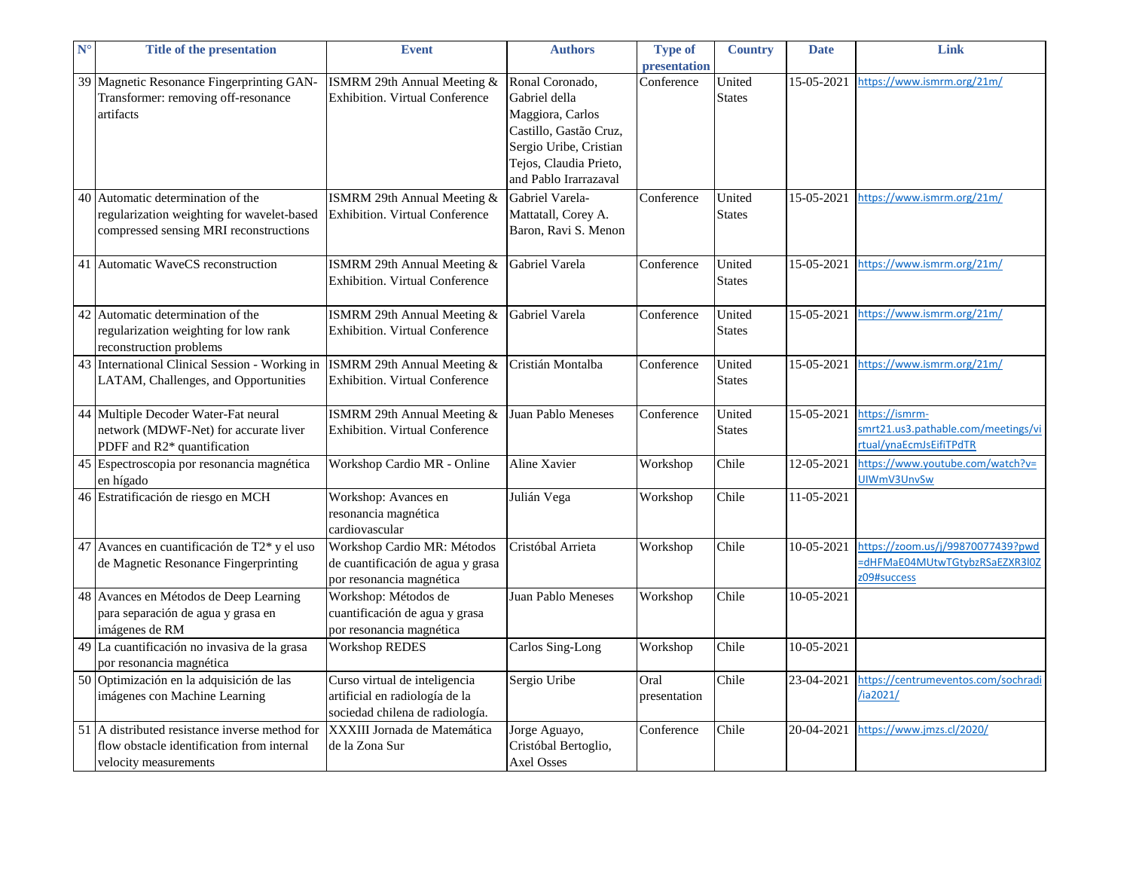| N <sup>c</sup> | <b>Title of the presentation</b>                                                                                       | <b>Event</b>                                                                                       | <b>Authors</b>                                                                                                                                              | <b>Type of</b><br>presentation | <b>Country</b>          | <b>Date</b> | Link                                                                             |
|----------------|------------------------------------------------------------------------------------------------------------------------|----------------------------------------------------------------------------------------------------|-------------------------------------------------------------------------------------------------------------------------------------------------------------|--------------------------------|-------------------------|-------------|----------------------------------------------------------------------------------|
|                | 39 Magnetic Resonance Fingerprinting GAN-<br>Transformer: removing off-resonance<br>artifacts                          | ISMRM 29th Annual Meeting &<br><b>Exhibition. Virtual Conference</b>                               | Ronal Coronado,<br>Gabriel della<br>Maggiora, Carlos<br>Castillo, Gastão Cruz,<br>Sergio Uribe, Cristian<br>Tejos, Claudia Prieto,<br>and Pablo Irarrazaval | Conference                     | United<br><b>States</b> | 15-05-2021  | https://www.ismrm.org/21m/                                                       |
| 40             | Automatic determination of the<br>regularization weighting for wavelet-based<br>compressed sensing MRI reconstructions | ISMRM 29th Annual Meeting &<br>Exhibition. Virtual Conference                                      | Gabriel Varela-<br>Mattatall, Corey A.<br>Baron, Ravi S. Menon                                                                                              | Conference                     | United<br><b>States</b> | 15-05-2021  | https://www.ismrm.org/21m/                                                       |
|                | 41 Automatic WaveCS reconstruction                                                                                     | ISMRM 29th Annual Meeting &<br><b>Exhibition. Virtual Conference</b>                               | Gabriel Varela                                                                                                                                              | Conference                     | United<br><b>States</b> | 15-05-2021  | https://www.ismrm.org/21m/                                                       |
|                | 42 Automatic determination of the<br>regularization weighting for low rank<br>reconstruction problems                  | ISMRM 29th Annual Meeting &<br><b>Exhibition. Virtual Conference</b>                               | Gabriel Varela                                                                                                                                              | Conference                     | United<br><b>States</b> | 15-05-2021  | https://www.ismrm.org/21m/                                                       |
|                | 43 International Clinical Session - Working in<br>LATAM, Challenges, and Opportunities                                 | ISMRM 29th Annual Meeting &<br>Exhibition. Virtual Conference                                      | Cristián Montalba                                                                                                                                           | Conference                     | United<br><b>States</b> | 15-05-2021  | https://www.ismrm.org/21m/                                                       |
|                | 44 Multiple Decoder Water-Fat neural<br>network (MDWF-Net) for accurate liver<br>PDFF and R2* quantification           | ISMRM 29th Annual Meeting &<br><b>Exhibition. Virtual Conference</b>                               | Juan Pablo Meneses                                                                                                                                          | Conference                     | United<br><b>States</b> | 15-05-2021  | https://ismrm-<br>smrt21.us3.pathable.com/meetings/vi<br>rtual/ynaEcmJsEifiTPdTR |
|                | 45 Espectroscopia por resonancia magnética<br>en hígado                                                                | Workshop Cardio MR - Online                                                                        | Aline Xavier                                                                                                                                                | Workshop                       | Chile                   | 12-05-2021  | https://www.youtube.com/watch?v=<br>UIWmV3UnvSw                                  |
|                | 46 Estratificación de riesgo en MCH                                                                                    | Workshop: Avances en<br>resonancia magnética<br>cardiovascular                                     | Julián Vega                                                                                                                                                 | Workshop                       | Chile                   | 11-05-2021  |                                                                                  |
|                | 47 Avances en cuantificación de T2 <sup>*</sup> y el uso<br>de Magnetic Resonance Fingerprinting                       | Workshop Cardio MR: Métodos<br>de cuantificación de agua y grasa<br>por resonancia magnética       | Cristóbal Arrieta                                                                                                                                           | Workshop                       | Chile                   | 10-05-2021  | https://zoom.us/j/99870077439?pwd<br>dHFMaE04MUtwTGtybzRSaEZXR3l0Z<br>09#success |
|                | 48 Avances en Métodos de Deep Learning<br>para separación de agua y grasa en<br>imágenes de RM                         | Workshop: Métodos de<br>cuantificación de agua y grasa<br>por resonancia magnética                 | Juan Pablo Meneses                                                                                                                                          | Workshop                       | Chile                   | 10-05-2021  |                                                                                  |
|                | 49 La cuantificación no invasiva de la grasa<br>por resonancia magnética                                               | <b>Workshop REDES</b>                                                                              | Carlos Sing-Long                                                                                                                                            | Workshop                       | Chile                   | 10-05-2021  |                                                                                  |
|                | 50 Optimización en la adquisición de las<br>imágenes con Machine Learning                                              | Curso virtual de inteligencia<br>artificial en radiología de la<br>sociedad chilena de radiología. | Sergio Uribe                                                                                                                                                | Oral<br>presentation           | Chile                   | 23-04-2021  | https://centrumeventos.com/sochradi<br>/ia2021/                                  |
|                | 51 A distributed resistance inverse method for<br>flow obstacle identification from internal<br>velocity measurements  | XXXIII Jornada de Matemática<br>de la Zona Sur                                                     | Jorge Aguayo,<br>Cristóbal Bertoglio,<br><b>Axel Osses</b>                                                                                                  | Conference                     | Chile                   | 20-04-2021  | https://www.jmzs.cl/2020/                                                        |